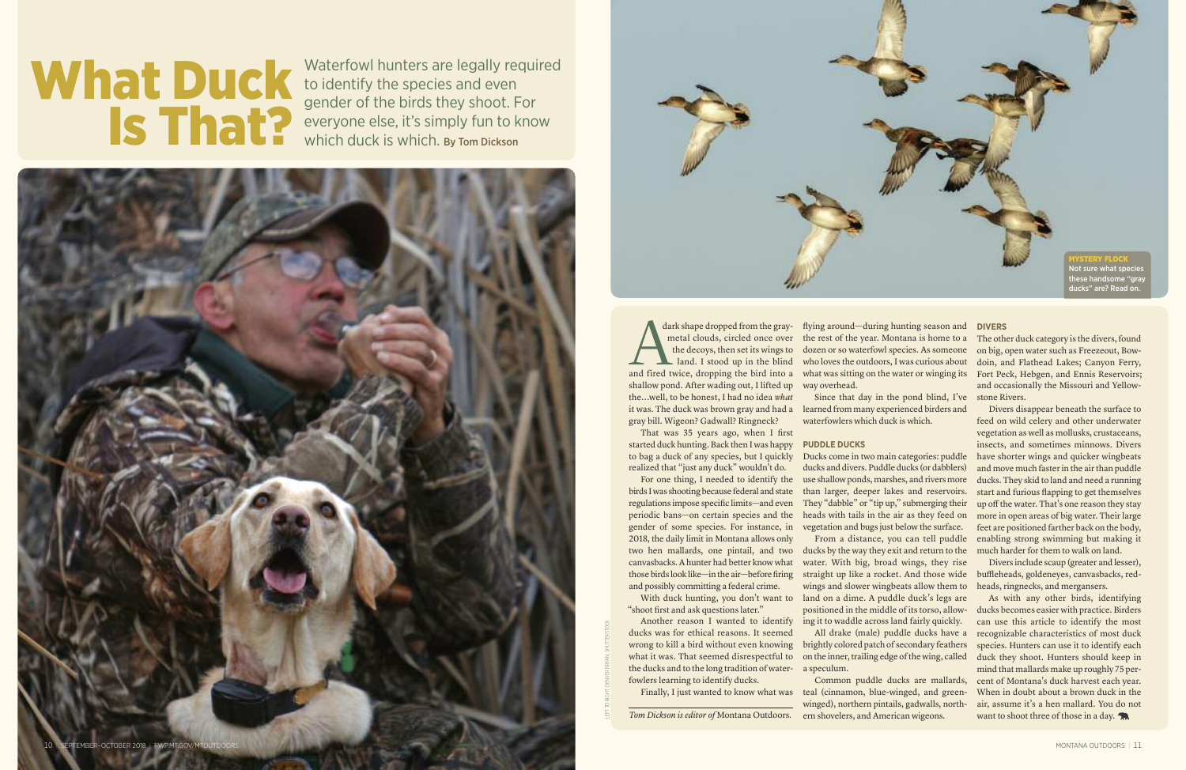dark shape dropped from the graymetal clouds, circled once over the decoys, then set its wings to land. I stood up in the blind dark shape dropped from the gray-<br>metal clouds, circled once over<br>the decoys, then set its wings to<br>land. I stood up in the blind<br>and fired twice, dropping the bird into a shallow pond. After wading out, I lifted up the...well, to be honest, I had no idea *what* it was. The duck was brown gray and had a gray bill. Wigeon? Gadwall? Ringneck?

That was 35 years ago, when I first started duck hunting. Back then I was happy to bag a duck of any species, but I quickly realized that "just any duck" wouldn't do.

For one thing, I needed to identify the birds I was shooting because federal and state regulations impose specific limits—and even periodic bans—on certain species and the gender of some species. For instance, in 2018, the daily limit in Montana allows only two hen mallards, one pintail, and two canvasbacks.Ahunter had better know what those birds look like—in the air—before firing and possibly committing a federal crime.

With duck hunting, you don't want to "shoot first and ask questions later."

Another reason I wanted to identify ducks was for ethical reasons. It seemed wrong to kill a bird without even knowing what it was. That seemed disrespectful to the ducks and to the long tradition of water-a speculum. fowlers learning to identify ducks.

brightly colored patch of secondary feathers on the inner, trailing edge of the wing, called

The other duck category is the divers, found on big, open water such as Freezeout, Bowdoin, and Flathead Lakes; Canyon Ferry, and occasionally the Missouri and Yellow-

flying around—during hunting season and **DIVERS** the rest of the year. Montana is home to a dozen or so waterfowl species. As someone who loves the outdoors, I was curious about what was sitting on the water or winging its Fort Peck, Hebgen, and Ennis Reservoirs; way overhead.

Since that day in the pond blind, I've stone Rivers. learned from many experienced birders and waterfowlers which duck is which.

### **PUDDLE DUCKS**

As with any other birds, identifying ducks becomes easier with practice. Birders can use this article to identify the most recognizable characteristics of most duck species. Hunters can use it to identify each duck they shoot. Hunters should keep in mind that mallards make up roughly 75 percent of Montana's duck harvest each year. When in doubt about a brown duck in the air, assume it's a hen mallard. You do not want to shoot three of those in a day.

Ducks come in two main categories: puddle ducks and divers. Puddle ducks (or dabblers) use shallow ponds, marshes, and rivers more than larger, deeper lakes and reservoirs. They "dabble" or "tip up," submerging their heads with tails in the air as they feed on vegetation and bugs just below the surface.

Finally, I just wanted to know what was teal (cinnamon, blue-winged, and green-Common puddle ducks are mallards, winged), northern pintails, gadwalls, northern shovelers, and American wigeons.

From a distance, you can tell puddle ducks by the way they exit and return to the water. With big, broad wings, they rise straight up like a rocket. And those wide wings and slower wingbeats allow them to land on a dime. A puddle duck's legs are positioned in the middle of its torso, allowing it to waddle across land fairly quickly.

All drake (male) puddle ducks have a

Divers disappear beneath the surface to feed on wild celery and other underwater vegetation as well as mollusks, crustaceans, insects, and sometimes minnows. Divers have shorter wings and quicker wingbeats and move much faster in the air than puddle ducks. They skid to land and need a running start and furious flapping to get themselves up off the water. That's one reason they stay more in open areas of big water. Their large feet are positioned farther back on the body, enabling strong swimming but making it much harder for them to walk on land.

Divers include scaup (greater and lesser), buffleheads, goldeneyes, canvasbacks, redheads, ringnecks, and mergansers.



# **What Duck**

**IS That Perform**<br> **IS THER**<br> **IS THER**<br>
Which duck is which. By Tom Dickson Waterfowl hunters are legally required to identify the species and even everyone else, it's simply fun to know which duck is which. By Tom Dickson

LEFTTO RIGHT: DENVER BRYAN; SHUTTERSTOCK

*Tom Dickson is editor of* Montana Outdoors*.*

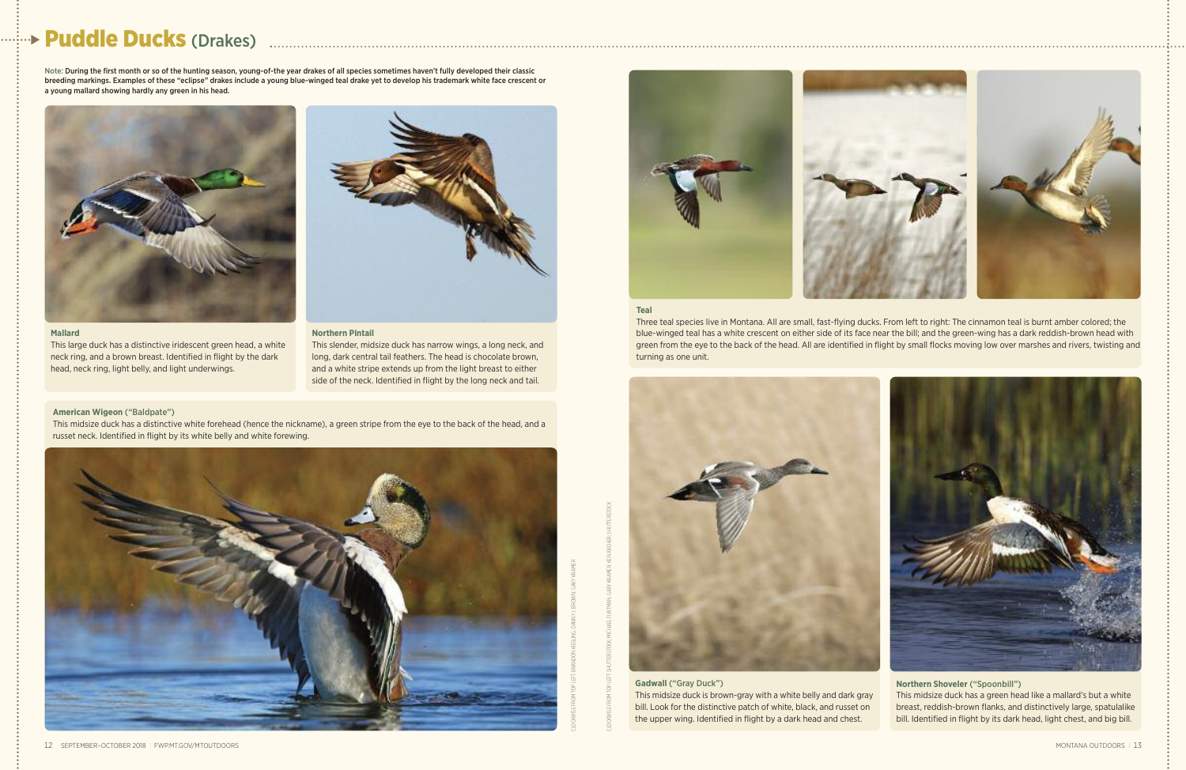

## **Puddle Ducks** (Drakes)

**Gadwall** ("Gray Duck") This midsize duck is brown-gray with a white belly and dark gray bill. Look for the distinctive patch of white, black, and russet on the upper wing. Identified in flight by a dark head and chest.

#### **Northern Shoveler** ("Spoonbill")

This midsize duck has a green head like a mallard's but a white breast, reddish-brown flanks, and distinctively large, spatulalike bill. Identified in flight by its dark head, light chest, and big bill.

#### **Teal**

Three teal species live in Montana. All are small, fast-flying ducks. From left to right: The cinnamon teal is burnt amber colored; the blue-winged teal has a white crescent on either side of its face near the bill; and the green-wing has a dark reddish-brown head with green from the eye to the back of the head. All are identified in flight by small flocks moving low over marshes and rivers, twisting and turning as one unit.



CLOCKWISE FROM TOP LEFT: BRANDON KIESLING; DANNY J. BROWN; GARY KRAMER

CLOCKWISE FROM TOP LEFT: SHUTTERSTOCK; MICHAEL FURTMAN; GARY KRAMER; KEN ARCHER; SHUTTERSTOCK

Note: During the first month or so of the hunting season, young-of-the year drakes of all species sometimes haven't fully developed their classic breeding markings. Examples of these "eclipse" drakes include a young blue-winged teal drake yet to develop his trademark white face crescent or a young mallard showing hardly any green in his head.

#### **Northern Pintail**

This slender, midsize duck has narrow wings, a long neck, and long, dark central tail feathers. The head is chocolate brown, and a white stripe extends up from the light breast to either side of the neck. Identified in flight by the long neck and tail.



This large duck has a distinctive iridescent green head, a white neck ring, and a brown breast. Identified in flight by the dark head, neck ring, light belly, and light underwings.



#### **American Wigeon** ("Baldpate")

This midsize duck has a distinctive white forehead (hence the nickname), a green stripe from the eye to the back of the head, and a russet neck. Identified in flight by its white belly and white forewing.

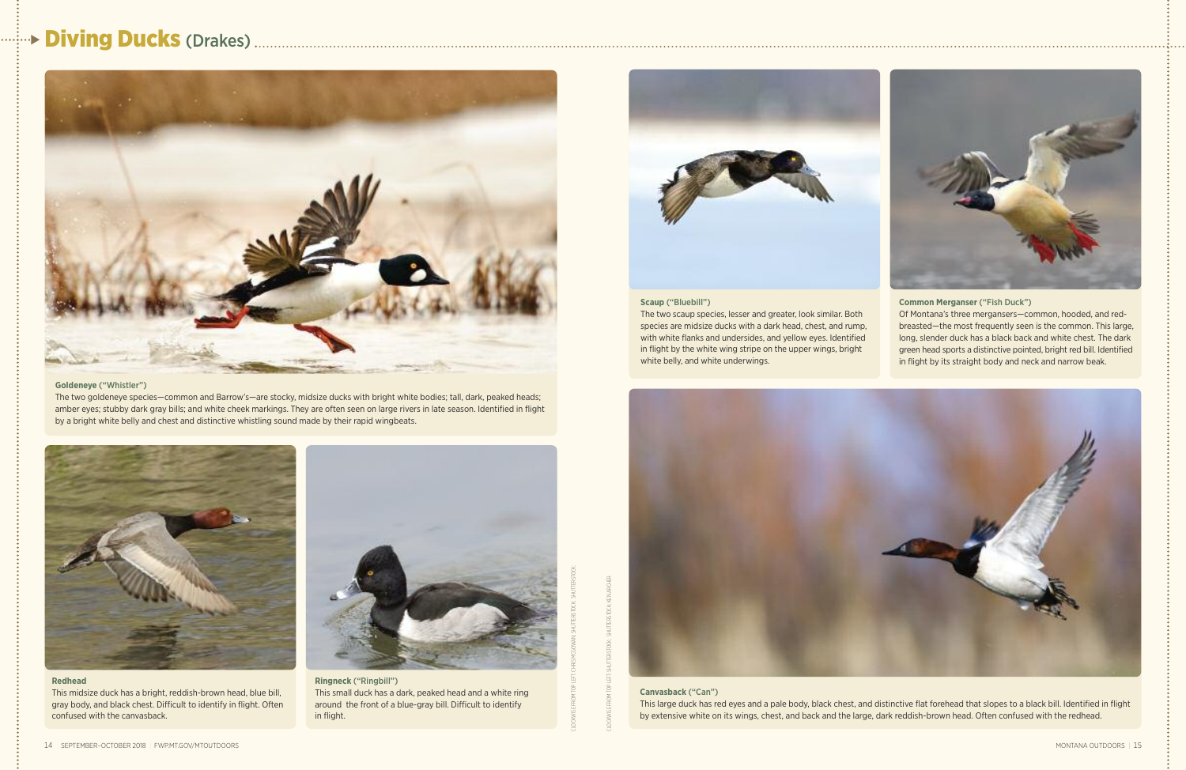## **Diving Ducks** (Drakes)



#### **Goldeneye** ("Whistler")

The two goldeneye species—common and Barrow's—are stocky, midsize ducks with bright white bodies; tall, dark, peaked heads; amber eyes; stubby dark gray bills; and white cheek markings. They are often seen on large rivers in late season. Identified in flight by a bright white belly and chest and distinctive whistling sound made by their rapid wingbeats.

#### **Canvasback** ("Can")

This large duck has red eyes and a pale body, black chest, and distinctive flat forehead that slopes to a black bill. Identified in flight by extensive white on its wings, chest, and back and the large, dark reddish-brown head. Often confused with the redhead.





This midsize duck has a bright, reddish-brown head, blue bill, gray body, and black chest. Difficult to identify in flight. Often confused with the canvasback.



**Ringneck** ("Ringbill") This small duck has a dark, peaked head and a white ring around the front of a blue-gray bill. Difficult to identify in flight.



#### **Scaup** ("Bluebill")

The two scaup species, lesser and greater, look similar. Both species are midsize ducks with a dark head, chest, and rump, with white flanks and undersides, and yellow eyes. Identified in flight by the white wing stripe on the upper wings, bright white belly, and white underwings.



#### **Common Merganser** ("Fish Duck")

Of Montana's three mergansers—common, hooded, and redbreasted—the most frequently seen is the common. This large, long, slender duck has a black back and white chest. The dark green head sports a distinctive pointed, bright red bill. Identified in flight by its straight body and neck and narrow beak.

CLOCKWISE FROM TOP LEFT: CHRIS MCGOWAN; SHUTTERSTOCK; SHUTTERSTOCK;

CLOCKWISE FROM TOP LEFT: SHUTTERSTOCK; SHUTTERSTOCK; KEN ARCHER